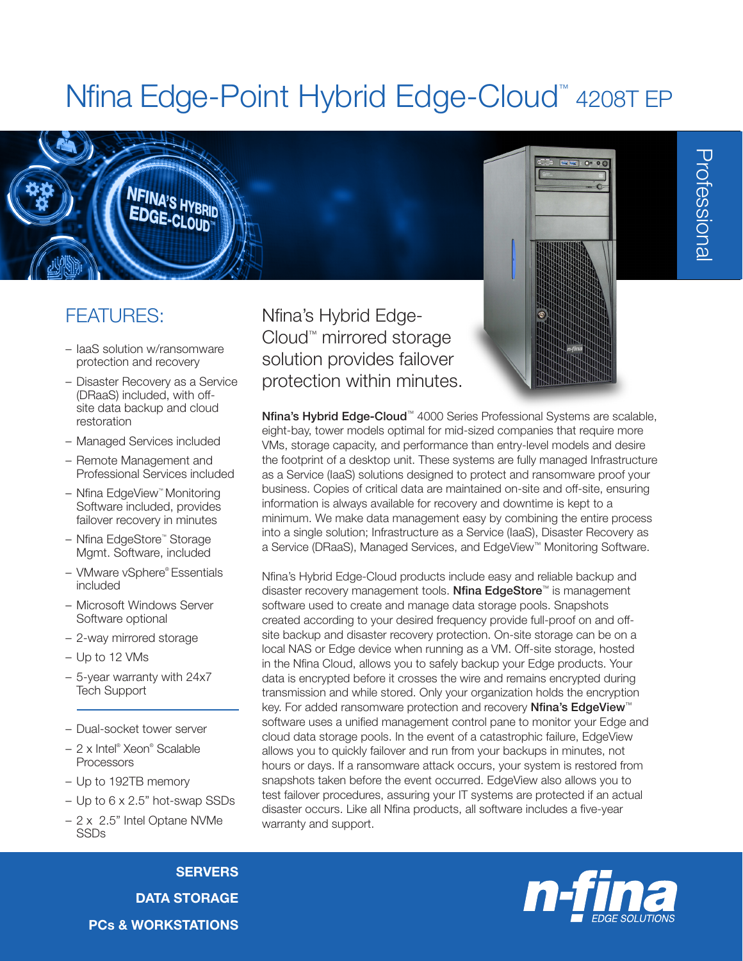# Nfina Edge-Point Hybrid Edge-Cloud<sup>™</sup> 4208T EP

### FEATURES:

– IaaS solution w/ransomware protection and recovery

**NFINA'S HYBRID** 

- Disaster Recovery as a Service (DRaaS) included, with offsite data backup and cloud restoration
- Managed Services included
- Remote Management and Professional Services included
- Nfina EdgeView™ Monitoring Software included, provides failover recovery in minutes
- Nfina EdgeStore™ Storage Mgmt. Software, included
- VMware vSphere® Essentials included
- Microsoft Windows Server Software optional
- 2-way mirrored storage
- Up to 12 VMs
- 5-year warranty with 24x7 Tech Support
- Dual-socket tower server
- 2 x Intel® Xeon® Scalable **Processors**
- Up to 192TB memory
- Up to 6 x 2.5" hot-swap SSDs
- 2 x 2.5" Intel Optane NVMe SSDs

**SERVERS** DATA STORAGE PCs & WORKSTATIONS Nfina's Hybrid Edge-Cloud™ mirrored storage solution provides failover protection within minutes.



Professional Professional

Nfina's Hybrid Edge-Cloud™ 4000 Series Professional Systems are scalable, eight-bay, tower models optimal for mid-sized companies that require more VMs, storage capacity, and performance than entry-level models and desire the footprint of a desktop unit. These systems are fully managed Infrastructure as a Service (IaaS) solutions designed to protect and ransomware proof your business. Copies of critical data are maintained on-site and off-site, ensuring information is always available for recovery and downtime is kept to a minimum. We make data management easy by combining the entire process into a single solution; Infrastructure as a Service (IaaS), Disaster Recovery as a Service (DRaaS), Managed Services, and EdgeView™ Monitoring Software.

Nfina's Hybrid Edge-Cloud products include easy and reliable backup and disaster recovery management tools. Nfina EdgeStore<sup>™</sup> is management software used to create and manage data storage pools. Snapshots created according to your desired frequency provide full-proof on and offsite backup and disaster recovery protection. On-site storage can be on a local NAS or Edge device when running as a VM. Off-site storage, hosted in the Nfina Cloud, allows you to safely backup your Edge products. Your data is encrypted before it crosses the wire and remains encrypted during transmission and while stored. Only your organization holds the encryption key. For added ransomware protection and recovery Nfina's EdgeView<sup>™</sup> software uses a unified management control pane to monitor your Edge and cloud data storage pools. In the event of a catastrophic failure, EdgeView allows you to quickly failover and run from your backups in minutes, not hours or days. If a ransomware attack occurs, your system is restored from snapshots taken before the event occurred. EdgeView also allows you to test failover procedures, assuring your IT systems are protected if an actual disaster occurs. Like all Nfina products, all software includes a five-year warranty and support.

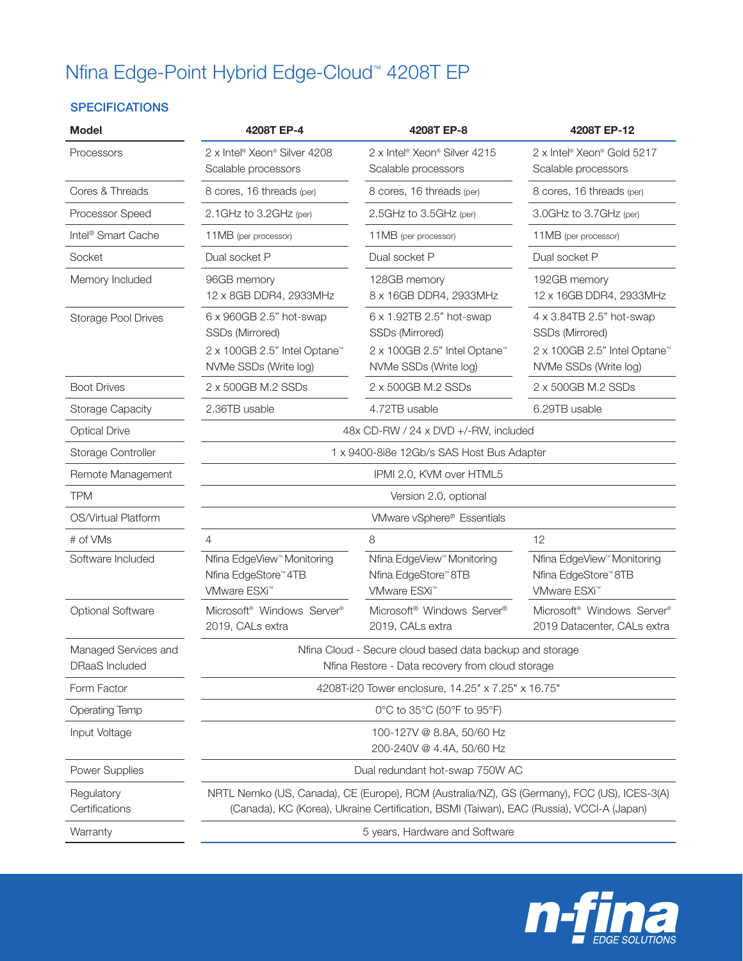# Nfina Edge-Point Hybrid Edge-Cloud™ 4208T EP

#### **SPECIFICATIONS**

| <b>Model</b>                           | 4208T EP-4                                                                                                                                                                              | 4208T EP-8                                                                                             | 4208T EP-12                                                                                            |  |  |
|----------------------------------------|-----------------------------------------------------------------------------------------------------------------------------------------------------------------------------------------|--------------------------------------------------------------------------------------------------------|--------------------------------------------------------------------------------------------------------|--|--|
| Processors                             | 2 x Intel <sup>®</sup> Xeon <sup>®</sup> Silver 4208<br>Scalable processors                                                                                                             | 2 x Intel <sup>®</sup> Xeon <sup>®</sup> Silver 4215<br>Scalable processors                            | 2 x Intel® Xeon® Gold 5217<br>Scalable processors                                                      |  |  |
| Cores & Threads                        | 8 cores, 16 threads (per)                                                                                                                                                               | 8 cores, 16 threads (per)                                                                              | 8 cores, 16 threads (per)                                                                              |  |  |
| Processor Speed                        | 2.1GHz to 3.2GHz (per)                                                                                                                                                                  | 2.5GHz to 3.5GHz (per)                                                                                 | 3.0GHz to 3.7GHz (per)                                                                                 |  |  |
| Intel <sup>®</sup> Smart Cache         | 11MB (per processor)                                                                                                                                                                    | 11MB (per processor)                                                                                   | 11MB (per processor)                                                                                   |  |  |
| Socket                                 | Dual socket P                                                                                                                                                                           | Dual socket P                                                                                          | Dual socket P                                                                                          |  |  |
| Memory Included                        | 96GB memory<br>12 x 8GB DDR4, 2933MHz                                                                                                                                                   | 128GB memory<br>8 x 16GB DDR4, 2933MHz                                                                 | 192GB memory<br>12 x 16GB DDR4, 2933MHz                                                                |  |  |
| <b>Storage Pool Drives</b>             | 6 x 960GB 2.5" hot-swap<br>SSDs (Mirrored)                                                                                                                                              | 6 x 1.92TB 2.5" hot-swap<br>SSDs (Mirrored)                                                            | 4 x 3.84TB 2.5" hot-swap<br>SSDs (Mirrored)                                                            |  |  |
|                                        | 2 x 100GB 2.5" Intel Optane™<br>NVMe SSDs (Write log)                                                                                                                                   | 2 x 100GB 2.5" Intel Optane™<br>NVMe SSDs (Write log)                                                  | 2 x 100GB 2.5" Intel Optane™<br>NVMe SSDs (Write log)                                                  |  |  |
| <b>Boot Drives</b>                     | 2 x 500GB M.2 SSDs                                                                                                                                                                      | 2 x 500GB M.2 SSDs                                                                                     | 2 x 500GB M.2 SSDs                                                                                     |  |  |
| <b>Storage Capacity</b>                | 2.36TB usable                                                                                                                                                                           | 4.72TB usable                                                                                          | 6.29TB usable                                                                                          |  |  |
| <b>Optical Drive</b>                   | 48x CD-RW / 24 x DVD +/-RW, included                                                                                                                                                    |                                                                                                        |                                                                                                        |  |  |
| Storage Controller                     | 1 x 9400-8i8e 12Gb/s SAS Host Bus Adapter                                                                                                                                               |                                                                                                        |                                                                                                        |  |  |
| Remote Management                      |                                                                                                                                                                                         | IPMI 2.0, KVM over HTML5                                                                               |                                                                                                        |  |  |
| <b>TPM</b>                             |                                                                                                                                                                                         | Version 2.0, optional                                                                                  |                                                                                                        |  |  |
| OS/Virtual Platform                    |                                                                                                                                                                                         | VMware vSphere® Essentials                                                                             |                                                                                                        |  |  |
| # of VMs                               | 8<br>$\overline{4}$                                                                                                                                                                     |                                                                                                        | 12                                                                                                     |  |  |
| Software Included                      | Nfina EdgeView <sup>™</sup> Monitoring<br>Nfina EdgeStore <sup>™</sup> 4TB<br>VMware ESXi <sup>™</sup>                                                                                  | Nfina EdgeView <sup>™</sup> Monitoring<br>Nfina EdgeStore <sup>™</sup> 8TB<br>VMware ESXi <sup>™</sup> | Nfina EdgeView <sup>™</sup> Monitoring<br>Nfina EdgeStore <sup>™</sup> 8TB<br>VMware ESXi <sup>™</sup> |  |  |
| <b>Optional Software</b>               | Microsoft <sup>®</sup> Windows Server <sup>®</sup><br>2019, CALs extra                                                                                                                  | Microsoft <sup>®</sup> Windows Server <sup>®</sup><br>2019, CALs extra                                 | Microsoft <sup>®</sup> Windows Server <sup>®</sup><br>2019 Datacenter, CALs extra                      |  |  |
| Managed Services and<br>DRaaS Included | Nfina Cloud - Secure cloud based data backup and storage<br>Nfina Restore - Data recovery from cloud storage                                                                            |                                                                                                        |                                                                                                        |  |  |
| Form Factor                            | 4208T-i20 Tower enclosure, 14.25" x 7.25" x 16.75"                                                                                                                                      |                                                                                                        |                                                                                                        |  |  |
| <b>Operating Temp</b>                  | 0°C to 35°C (50°F to 95°F)                                                                                                                                                              |                                                                                                        |                                                                                                        |  |  |
| Input Voltage                          | 100-127V @ 8.8A, 50/60 Hz<br>200-240V @ 4.4A, 50/60 Hz                                                                                                                                  |                                                                                                        |                                                                                                        |  |  |
| Power Supplies                         | Dual redundant hot-swap 750W AC                                                                                                                                                         |                                                                                                        |                                                                                                        |  |  |
| Regulatory<br>Certifications           | NRTL Nemko (US, Canada), CE (Europe), RCM (Australia/NZ), GS (Germany), FCC (US), ICES-3(A)<br>(Canada), KC (Korea), Ukraine Certification, BSMI (Taiwan), EAC (Russia), VCCI-A (Japan) |                                                                                                        |                                                                                                        |  |  |
| Warranty                               | 5 years, Hardware and Software                                                                                                                                                          |                                                                                                        |                                                                                                        |  |  |